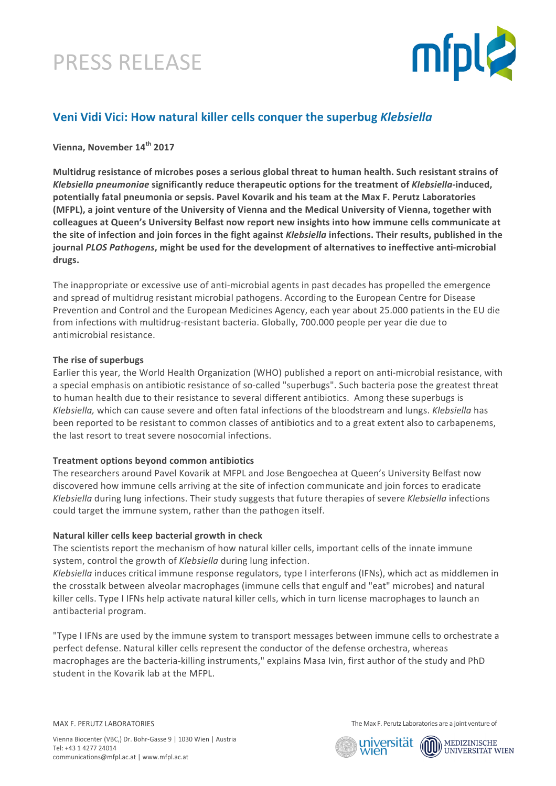# PRESS RELEASE



### **Veni Vidi Vici: How natural killer cells conquer the superbug** *Klebsiella*

**Vienna, November 14th 2017**

**Multidrug resistance of microbes poses a serious global threat to human health. Such resistant strains of** *Klebsiella pneumoniae* significantly reduce therapeutic options for the treatment of *Klebsiella*-induced, potentially fatal pneumonia or sepsis. Pavel Kovarik and his team at the Max F. Perutz Laboratories **(MFPL), a joint venture of the University of Vienna and the Medical University of Vienna, together with** colleagues at Queen's University Belfast now report new insights into how immune cells communicate at the site of infection and join forces in the fight against *Klebsiella* infections. Their results, published in the journal *PLOS Pathogens*, might be used for the development of alternatives to ineffective anti-microbial drugs.

The inappropriate or excessive use of anti-microbial agents in past decades has propelled the emergence and spread of multidrug resistant microbial pathogens. According to the European Centre for Disease Prevention and Control and the European Medicines Agency, each year about 25.000 patients in the EU die from infections with multidrug-resistant bacteria. Globally, 700.000 people per year die due to antimicrobial resistance.

### The rise of superbugs

Earlier this year, the World Health Organization (WHO) published a report on anti-microbial resistance, with a special emphasis on antibiotic resistance of so-called "superbugs". Such bacteria pose the greatest threat to human health due to their resistance to several different antibiotics. Among these superbugs is *Klebsiella,* which can cause severe and often fatal infections of the bloodstream and lungs. *Klebsiella* has been reported to be resistant to common classes of antibiotics and to a great extent also to carbapenems, the last resort to treat severe nosocomial infections.

### **Treatment options beyond common antibiotics**

The researchers around Pavel Kovarik at MFPL and Jose Bengoechea at Queen's University Belfast now discovered how immune cells arriving at the site of infection communicate and join forces to eradicate *Klebsiella* during lung infections. Their study suggests that future therapies of severe *Klebsiella* infections could target the immune system, rather than the pathogen itself.

### **Natural killer cells keep bacterial growth in check**

The scientists report the mechanism of how natural killer cells, important cells of the innate immune system, control the growth of *Klebsiella* during lung infection.

*Klebsiella* induces critical immune response regulators, type I interferons (IFNs), which act as middlemen in the crosstalk between alveolar macrophages (immune cells that engulf and "eat" microbes) and natural killer cells. Type I IFNs help activate natural killer cells, which in turn license macrophages to launch an antibacterial program.

"Type I IFNs are used by the immune system to transport messages between immune cells to orchestrate a perfect defense. Natural killer cells represent the conductor of the defense orchestra, whereas macrophages are the bacteria-killing instruments," explains Masa Ivin, first author of the study and PhD student in the Kovarik lab at the MFPL.

MAX F. PERUTZ LABORATORIES

The Max F. Perutz Laboratories are a joint venture of